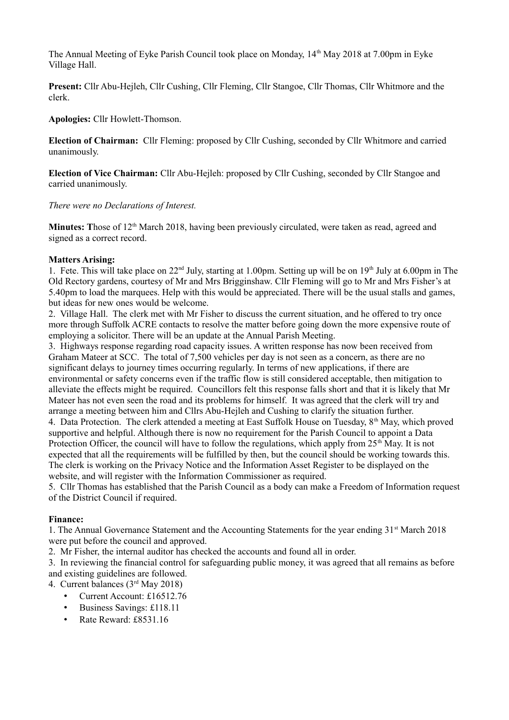The Annual Meeting of Eyke Parish Council took place on Monday,  $14<sup>th</sup>$  May 2018 at 7.00pm in Eyke Village Hall.

**Present:** Cllr Abu-Hejleh, Cllr Cushing, Cllr Fleming, Cllr Stangoe, Cllr Thomas, Cllr Whitmore and the clerk.

**Apologies:** Cllr Howlett-Thomson.

**Election of Chairman:** Cllr Fleming: proposed by Cllr Cushing, seconded by Cllr Whitmore and carried unanimously.

**Election of Vice Chairman:** Cllr Abu-Hejleh: proposed by Cllr Cushing, seconded by Cllr Stangoe and carried unanimously.

*There were no Declarations of Interest.*

**Minutes:** Those of 12<sup>th</sup> March 2018, having been previously circulated, were taken as read, agreed and signed as a correct record.

## **Matters Arising:**

1. Fete. This will take place on  $22<sup>nd</sup>$  July, starting at 1.00pm. Setting up will be on  $19<sup>th</sup>$  July at 6.00pm in The Old Rectory gardens, courtesy of Mr and Mrs Brigginshaw. Cllr Fleming will go to Mr and Mrs Fisher's at 5.40pm to load the marquees. Help with this would be appreciated. There will be the usual stalls and games, but ideas for new ones would be welcome.

2. Village Hall. The clerk met with Mr Fisher to discuss the current situation, and he offered to try once more through Suffolk ACRE contacts to resolve the matter before going down the more expensive route of employing a solicitor. There will be an update at the Annual Parish Meeting.

3. Highways response regarding road capacity issues. A written response has now been received from Graham Mateer at SCC. The total of 7,500 vehicles per day is not seen as a concern, as there are no significant delays to journey times occurring regularly. In terms of new applications, if there are environmental or safety concerns even if the traffic flow is still considered acceptable, then mitigation to alleviate the effects might be required. Councillors felt this response falls short and that it is likely that Mr Mateer has not even seen the road and its problems for himself. It was agreed that the clerk will try and arrange a meeting between him and Cllrs Abu-Hejleh and Cushing to clarify the situation further.

4. Data Protection. The clerk attended a meeting at East Suffolk House on Tuesday, 8<sup>th</sup> May, which proved supportive and helpful. Although there is now no requirement for the Parish Council to appoint a Data Protection Officer, the council will have to follow the regulations, which apply from  $25<sup>th</sup>$  May. It is not expected that all the requirements will be fulfilled by then, but the council should be working towards this. The clerk is working on the Privacy Notice and the Information Asset Register to be displayed on the website, and will register with the Information Commissioner as required.

5. Cllr Thomas has established that the Parish Council as a body can make a Freedom of Information request of the District Council if required.

# **Finance:**

1. The Annual Governance Statement and the Accounting Statements for the year ending 31<sup>st</sup> March 2018 were put before the council and approved.

2. Mr Fisher, the internal auditor has checked the accounts and found all in order.

3. In reviewing the financial control for safeguarding public money, it was agreed that all remains as before and existing guidelines are followed.

4. Current balances (3rd May 2018)

- Current Account: £16512.76
- Business Savings: £118.11
- Rate Reward: £8531.16